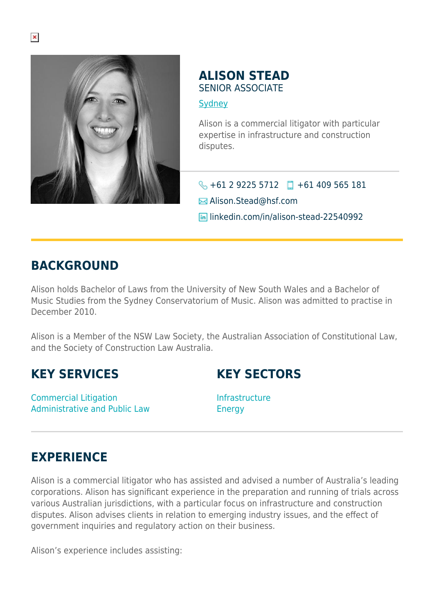

## **ALISON STEAD** SENIOR ASSOCIATE

**[Sydney](https://www.herbertsmithfreehills.com/where-we-work/sydney)** 

Alison is a commercial litigator with particular expertise in infrastructure and construction disputes.

 $\bigodot$  +61 2 9225 5712  $\Box$  +61 409 565 181

Alison.Stead@hsf.com

**In linkedin.com/in/alison-stead-22540992** 

## **BACKGROUND**

Alison holds Bachelor of Laws from the University of New South Wales and a Bachelor of Music Studies from the Sydney Conservatorium of Music. Alison was admitted to practise in December 2010.

Alison is a Member of the NSW Law Society, the Australian Association of Constitutional Law, and the Society of Construction Law Australia.

## **KEY SERVICES**

Commercial Litigation Administrative and Public Law **KEY SECTORS**

Infrastructure Energy

## **EXPERIENCE**

Alison is a commercial litigator who has assisted and advised a number of Australia's leading corporations. Alison has significant experience in the preparation and running of trials across various Australian jurisdictions, with a particular focus on infrastructure and construction disputes. Alison advises clients in relation to emerging industry issues, and the effect of government inquiries and regulatory action on their business.

Alison's experience includes assisting: